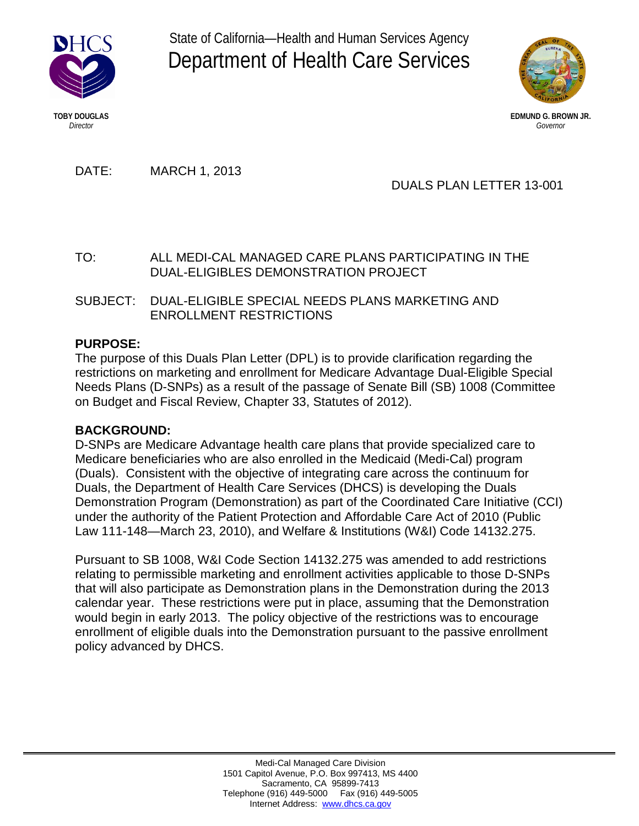

State of California—Health and Human Services Agency Department of Health Care Services



**TOBY DOUGLAS EDMUND G. BROWN JR.** *Director Governor*

DATE: MARCH 1, 2013

DUALS PLAN LETTER 13-001

TO: ALL MEDI-CAL MANAGED CARE PLANS PARTICIPATING IN THE DUAL-ELIGIBLES DEMONSTRATION PROJECT

SUBJECT: DUAL-ELIGIBLE SPECIAL NEEDS PLANS MARKETING AND ENROLLMENT RESTRICTIONS

# **PURPOSE:**

The purpose of this Duals Plan Letter (DPL) is to provide clarification regarding the restrictions on marketing and enrollment for Medicare Advantage Dual-Eligible Special Needs Plans (D-SNPs) as a result of the passage of Senate Bill (SB) 1008 (Committee on Budget and Fiscal Review, Chapter 33, Statutes of 2012).

## **BACKGROUND:**

D-SNPs are Medicare Advantage health care plans that provide specialized care to Medicare beneficiaries who are also enrolled in the Medicaid (Medi-Cal) program (Duals). Consistent with the objective of integrating care across the continuum for Duals, the Department of Health Care Services (DHCS) is developing the Duals Demonstration Program (Demonstration) as part of the Coordinated Care Initiative (CCI) under the authority of the Patient Protection and Affordable Care Act of 2010 (Public Law 111-148—March 23, 2010), and Welfare & Institutions (W&I) Code 14132.275.

Pursuant to SB 1008, W&I Code Section 14132.275 was amended to add restrictions relating to permissible marketing and enrollment activities applicable to those D-SNPs that will also participate as Demonstration plans in the Demonstration during the 2013 calendar year. These restrictions were put in place, assuming that the Demonstration would begin in early 2013. The policy objective of the restrictions was to encourage enrollment of eligible duals into the Demonstration pursuant to the passive enrollment policy advanced by DHCS.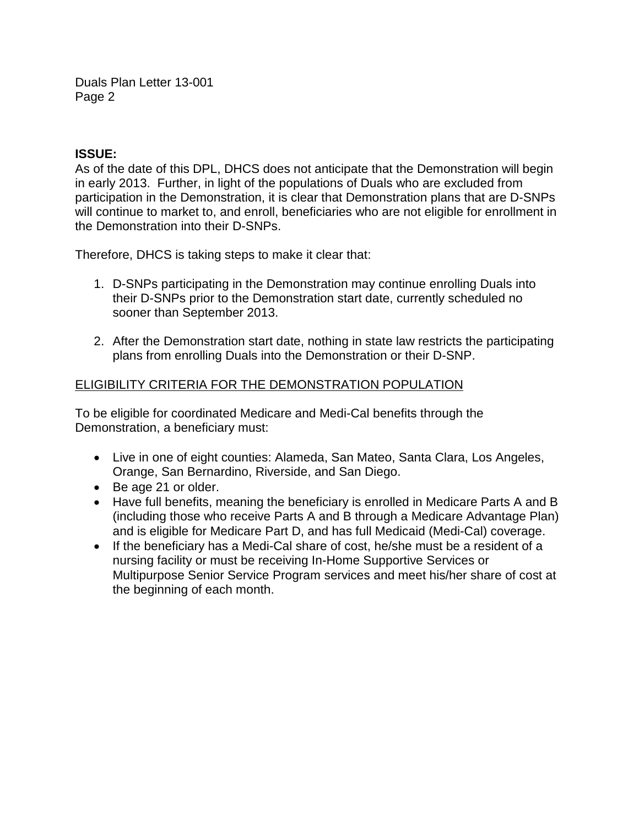Duals Plan Letter 13-001 Page 2

#### **ISSUE:**

As of the date of this DPL, DHCS does not anticipate that the Demonstration will begin in early 2013. Further, in light of the populations of Duals who are excluded from participation in the Demonstration, it is clear that Demonstration plans that are D-SNPs will continue to market to, and enroll, beneficiaries who are not eligible for enrollment in the Demonstration into their D-SNPs.

Therefore, DHCS is taking steps to make it clear that:

- 1. D-SNPs participating in the Demonstration may continue enrolling Duals into their D-SNPs prior to the Demonstration start date, currently scheduled no sooner than September 2013.
- 2. After the Demonstration start date, nothing in state law restricts the participating plans from enrolling Duals into the Demonstration or their D-SNP.

## ELIGIBILITY CRITERIA FOR THE DEMONSTRATION POPULATION

To be eligible for coordinated Medicare and Medi-Cal benefits through the Demonstration, a beneficiary must:

- Live in one of eight counties: Alameda, San Mateo, Santa Clara, Los Angeles, Orange, San Bernardino, Riverside, and San Diego.
- Be age 21 or older.
- Have full benefits, meaning the beneficiary is enrolled in Medicare Parts A and B (including those who receive Parts A and B through a Medicare Advantage Plan) and is eligible for Medicare Part D, and has full Medicaid (Medi-Cal) coverage.
- If the beneficiary has a Medi-Cal share of cost, he/she must be a resident of a nursing facility or must be receiving In-Home Supportive Services or Multipurpose Senior Service Program services and meet his/her share of cost at the beginning of each month.